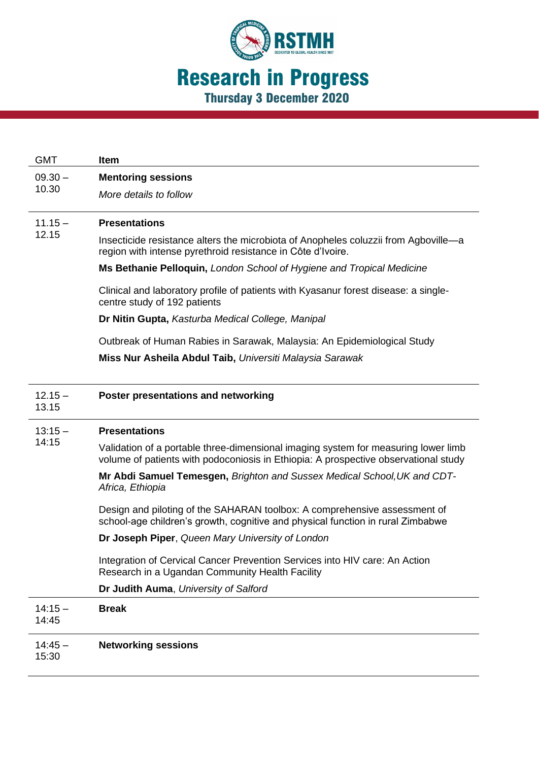

| <b>GMT</b>         | <b>Item</b>                                                                                                                                                  |
|--------------------|--------------------------------------------------------------------------------------------------------------------------------------------------------------|
| $09.30 -$<br>10.30 | <b>Mentoring sessions</b><br>More details to follow                                                                                                          |
| $11.15 -$<br>12.15 | <b>Presentations</b>                                                                                                                                         |
|                    | Insecticide resistance alters the microbiota of Anopheles coluzzii from Agboville-a<br>region with intense pyrethroid resistance in Côte d'Ivoire.           |
|                    | Ms Bethanie Pelloquin, London School of Hygiene and Tropical Medicine                                                                                        |
|                    | Clinical and laboratory profile of patients with Kyasanur forest disease: a single-<br>centre study of 192 patients                                          |
|                    | Dr Nitin Gupta, Kasturba Medical College, Manipal                                                                                                            |
|                    | Outbreak of Human Rabies in Sarawak, Malaysia: An Epidemiological Study                                                                                      |
|                    | Miss Nur Asheila Abdul Taib, Universiti Malaysia Sarawak                                                                                                     |
|                    |                                                                                                                                                              |
| $12.15 -$<br>13.15 | Poster presentations and networking                                                                                                                          |
| $13:15 -$<br>14:15 | <b>Presentations</b>                                                                                                                                         |
|                    | Validation of a portable three-dimensional imaging system for measuring lower limb                                                                           |
|                    | volume of patients with podoconiosis in Ethiopia: A prospective observational study                                                                          |
|                    | Mr Abdi Samuel Temesgen, Brighton and Sussex Medical School, UK and CDT-<br>Africa, Ethiopia                                                                 |
|                    | Design and piloting of the SAHARAN toolbox: A comprehensive assessment of<br>school-age children's growth, cognitive and physical function in rural Zimbabwe |
|                    | Dr Joseph Piper, Queen Mary University of London                                                                                                             |
|                    | Integration of Cervical Cancer Prevention Services into HIV care: An Action<br>Research in a Ugandan Community Health Facility                               |
|                    | Dr Judith Auma, University of Salford                                                                                                                        |
| $14:15 -$<br>14:45 | <b>Break</b>                                                                                                                                                 |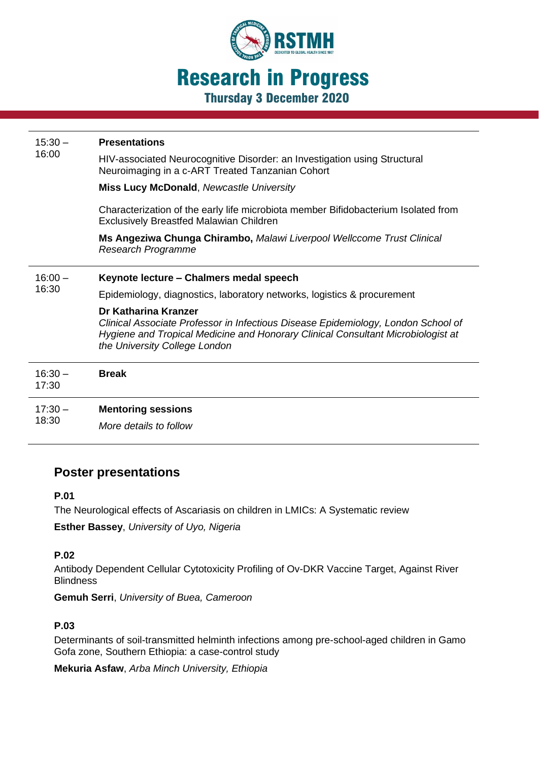

| $15:30 -$<br>16:00 | <b>Presentations</b><br>HIV-associated Neurocognitive Disorder: an Investigation using Structural<br>Neuroimaging in a c-ART Treated Tanzanian Cohort<br><b>Miss Lucy McDonald, Newcastle University</b><br>Characterization of the early life microbiota member Bifidobacterium Isolated from<br><b>Exclusively Breastfed Malawian Children</b><br>Ms Angeziwa Chunga Chirambo, Malawi Liverpool Wellccome Trust Clinical<br><b>Research Programme</b> |
|--------------------|---------------------------------------------------------------------------------------------------------------------------------------------------------------------------------------------------------------------------------------------------------------------------------------------------------------------------------------------------------------------------------------------------------------------------------------------------------|
| $16:00 -$<br>16:30 | Keynote lecture - Chalmers medal speech<br>Epidemiology, diagnostics, laboratory networks, logistics & procurement<br>Dr Katharina Kranzer<br>Clinical Associate Professor in Infectious Disease Epidemiology, London School of<br>Hygiene and Tropical Medicine and Honorary Clinical Consultant Microbiologist at<br>the University College London                                                                                                    |
| $16:30 -$<br>17:30 | <b>Break</b>                                                                                                                                                                                                                                                                                                                                                                                                                                            |
| $17:30 -$<br>18:30 | <b>Mentoring sessions</b><br>More details to follow                                                                                                                                                                                                                                                                                                                                                                                                     |

# **Poster presentations**

#### **P.01**

The Neurological effects of Ascariasis on children in LMICs: A Systematic review

**Esther Bassey**, *University of Uyo, Nigeria*

#### **P.02**

Antibody Dependent Cellular Cytotoxicity Profiling of Ov-DKR Vaccine Target, Against River **Blindness** 

**Gemuh Serri**, *University of Buea, Cameroon*

#### **P.03**

Determinants of soil-transmitted helminth infections among pre-school-aged children in Gamo Gofa zone, Southern Ethiopia: a case-control study

**Mekuria Asfaw**, *Arba Minch University, Ethiopia*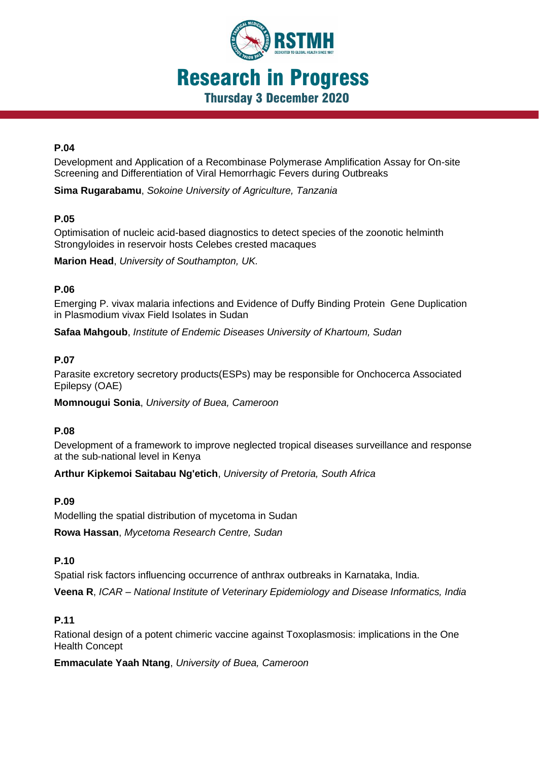

#### **P.04**

Development and Application of a Recombinase Polymerase Amplification Assay for On-site Screening and Differentiation of Viral Hemorrhagic Fevers during Outbreaks

**Sima Rugarabamu**, *Sokoine University of Agriculture, Tanzania*

#### **P.05**

Optimisation of nucleic acid-based diagnostics to detect species of the zoonotic helminth Strongyloides in reservoir hosts Celebes crested macaques

**Marion Head**, *University of Southampton, UK.*

#### **P.06**

Emerging P. vivax malaria infections and Evidence of Duffy Binding Protein Gene Duplication in Plasmodium vivax Field Isolates in Sudan

**Safaa Mahgoub**, *Institute of Endemic Diseases University of Khartoum, Sudan*

## **P.07**

Parasite excretory secretory products(ESPs) may be responsible for Onchocerca Associated Epilepsy (OAE)

**Momnougui Sonia**, *University of Buea, Cameroon*

#### **P.08**

Development of a framework to improve neglected tropical diseases surveillance and response at the sub-national level in Kenya

**Arthur Kipkemoi Saitabau Ng'etich**, *University of Pretoria, South Africa*

#### **P.09**

Modelling the spatial distribution of mycetoma in Sudan

**Rowa Hassan**, *Mycetoma Research Centre, Sudan*

## **P.10**

Spatial risk factors influencing occurrence of anthrax outbreaks in Karnataka, India.

**Veena R**, *ICAR – National Institute of Veterinary Epidemiology and Disease Informatics, India*

# **P.11**

Rational design of a potent chimeric vaccine against Toxoplasmosis: implications in the One Health Concept

**Emmaculate Yaah Ntang**, *University of Buea, Cameroon*